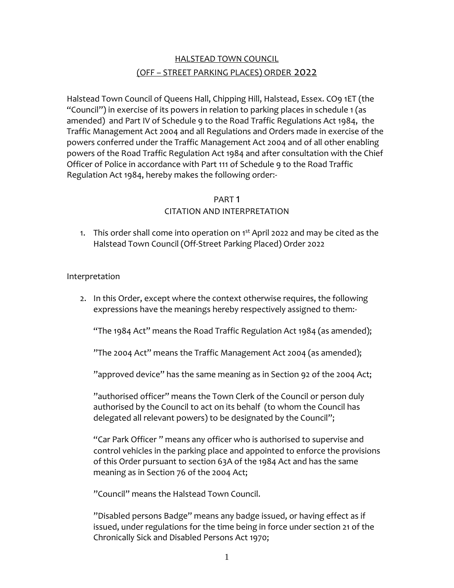# HALSTEAD TOWN COUNCIL (OFF – STREET PARKING PLACES) ORDER 2022

Halstead Town Council of Queens Hall, Chipping Hill, Halstead, Essex. CO9 1ET (the "Council") in exercise of its powers in relation to parking places in schedule 1 (as amended) and Part IV of Schedule 9 to the Road Traffic Regulations Act 1984, the Traffic Management Act 2004 and all Regulations and Orders made in exercise of the powers conferred under the Traffic Management Act 2004 and of all other enabling powers of the Road Traffic Regulation Act 1984 and after consultation with the Chief Officer of Police in accordance with Part 111 of Schedule 9 to the Road Traffic Regulation Act 1984, hereby makes the following order:-

#### PART 1

## CITATION AND INTERPRETATION

1. This order shall come into operation on 1<sup>st</sup> April 2022 and may be cited as the Halstead Town Council (Off-Street Parking Placed) Order 2022

#### Interpretation

2. In this Order, except where the context otherwise requires, the following expressions have the meanings hereby respectively assigned to them:-

"The 1984 Act" means the Road Traffic Regulation Act 1984 (as amended);

"The 2004 Act" means the Traffic Management Act 2004 (as amended);

"approved device" has the same meaning as in Section 92 of the 2004 Act;

"authorised officer" means the Town Clerk of the Council or person duly authorised by the Council to act on its behalf (to whom the Council has delegated all relevant powers) to be designated by the Council";

"Car Park Officer " means any officer who is authorised to supervise and control vehicles in the parking place and appointed to enforce the provisions of this Order pursuant to section 63A of the 1984 Act and has the same meaning as in Section 76 of the 2004 Act;

"Council" means the Halstead Town Council.

"Disabled persons Badge" means any badge issued, or having effect as if issued, under regulations for the time being in force under section 21 of the Chronically Sick and Disabled Persons Act 1970;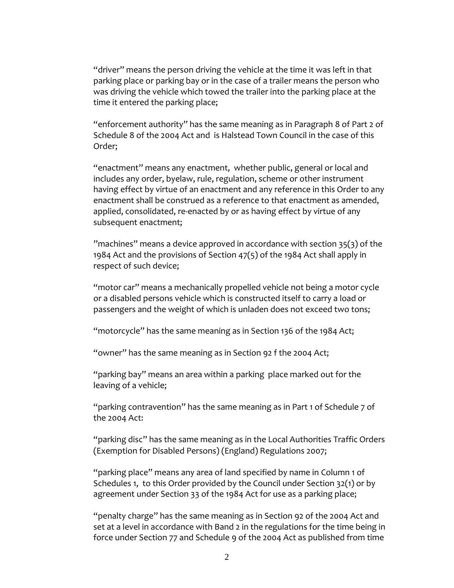"driver" means the person driving the vehicle at the time it was left in that parking place or parking bay or in the case of a trailer means the person who was driving the vehicle which towed the trailer into the parking place at the time it entered the parking place;

"enforcement authority" has the same meaning as in Paragraph 8 of Part 2 of Schedule 8 of the 2004 Act and is Halstead Town Council in the case of this Order;

"enactment" means any enactment, whether public, general or local and includes any order, byelaw, rule, regulation, scheme or other instrument having effect by virtue of an enactment and any reference in this Order to any enactment shall be construed as a reference to that enactment as amended, applied, consolidated, re-enacted by or as having effect by virtue of any subsequent enactment;

"machines" means a device approved in accordance with section 35(3) of the 1984 Act and the provisions of Section 47(5) of the 1984 Act shall apply in respect of such device;

"motor car" means a mechanically propelled vehicle not being a motor cycle or a disabled persons vehicle which is constructed itself to carry a load or passengers and the weight of which is unladen does not exceed two tons;

"motorcycle" has the same meaning as in Section 136 of the 1984 Act;

"owner" has the same meaning as in Section 92 f the 2004 Act;

"parking bay" means an area within a parking place marked out for the leaving of a vehicle;

"parking contravention" has the same meaning as in Part 1 of Schedule 7 of the 2004 Act:

"parking disc" has the same meaning as in the Local Authorities Traffic Orders (Exemption for Disabled Persons) (England) Regulations 2007;

"parking place" means any area of land specified by name in Column 1 of Schedules 1, to this Order provided by the Council under Section 32(1) or by agreement under Section 33 of the 1984 Act for use as a parking place;

"penalty charge" has the same meaning as in Section 92 of the 2004 Act and set at a level in accordance with Band 2 in the regulations for the time being in force under Section 77 and Schedule 9 of the 2004 Act as published from time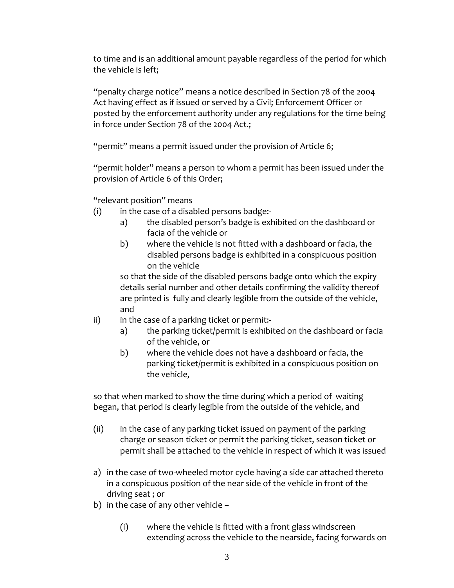to time and is an additional amount payable regardless of the period for which the vehicle is left;

"penalty charge notice" means a notice described in Section 78 of the 2004 Act having effect as if issued or served by a Civil; Enforcement Officer or posted by the enforcement authority under any regulations for the time being in force under Section 78 of the 2004 Act.;

"permit" means a permit issued under the provision of Article 6;

"permit holder" means a person to whom a permit has been issued under the provision of Article 6 of this Order;

"relevant position" means

- (i) in the case of a disabled persons badge:
	- a) the disabled person's badge is exhibited on the dashboard or facia of the vehicle or
	- b) where the vehicle is not fitted with a dashboard or facia, the disabled persons badge is exhibited in a conspicuous position on the vehicle

so that the side of the disabled persons badge onto which the expiry details serial number and other details confirming the validity thereof are printed is fully and clearly legible from the outside of the vehicle, and

- ii) in the case of a parking ticket or permit:
	- a) the parking ticket/permit is exhibited on the dashboard or facia of the vehicle, or
	- b) where the vehicle does not have a dashboard or facia, the parking ticket/permit is exhibited in a conspicuous position on the vehicle,

so that when marked to show the time during which a period of waiting began, that period is clearly legible from the outside of the vehicle, and

- (ii) in the case of any parking ticket issued on payment of the parking charge or season ticket or permit the parking ticket, season ticket or permit shall be attached to the vehicle in respect of which it was issued
- a) in the case of two-wheeled motor cycle having a side car attached thereto in a conspicuous position of the near side of the vehicle in front of the driving seat ; or
- b) in the case of any other vehicle
	- (i) where the vehicle is fitted with a front glass windscreen extending across the vehicle to the nearside, facing forwards on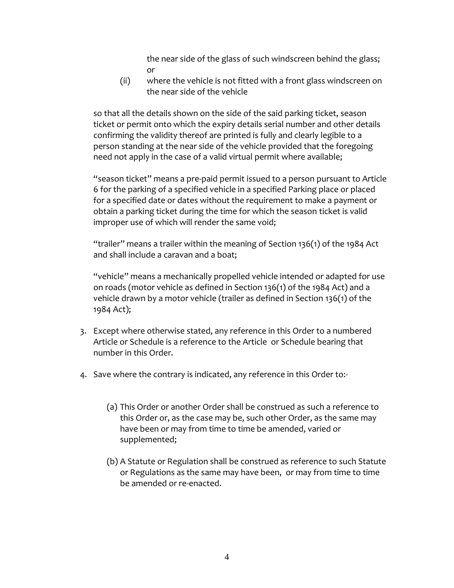the near side of the glass of such windscreen behind the glass; or

(ii) where the vehicle is not fitted with a front glass windscreen on the near side of the vehicle

so that all the details shown on the side of the said parking ticket, season ticket or permit onto which the expiry details serial number and other details confirming the validity thereof are printed is fully and clearly legible to a person standing at the near side of the vehicle provided that the foregoing need not apply in the case of a valid virtual permit where available;

"season ticket" means a pre-paid permit issued to a person pursuant to Article 6 for the parking of a specified vehicle in a specified Parking place or placed for a specified date or dates without the requirement to make a payment or obtain a parking ticket during the time for which the season ticket is valid improper use of which will render the same void;

"trailer" means a trailer within the meaning of Section 136(1) of the 1984 Act and shall include a caravan and a boat;

"vehicle" means a mechanically propelled vehicle intended or adapted for use on roads (motor vehicle as defined in Section 136(1) of the 1984 Act) and a vehicle drawn by a motor vehicle (trailer as defined in Section 136(1) of the 1984 Act);

- 3. Except where otherwise stated, any reference in this Order to a numbered Article or Schedule is a reference to the Article or Schedule bearing that number in this Order.
- 4. Save where the contrary is indicated, any reference in this Order to:-
	- (a) This Order or another Order shall be construed as such a reference to this Order or, as the case may be, such other Order, as the same may have been or may from time to time be amended, varied or supplemented;
	- (b) A Statute or Regulation shall be construed as reference to such Statute or Regulations as the same may have been, or may from time to time be amended or re-enacted.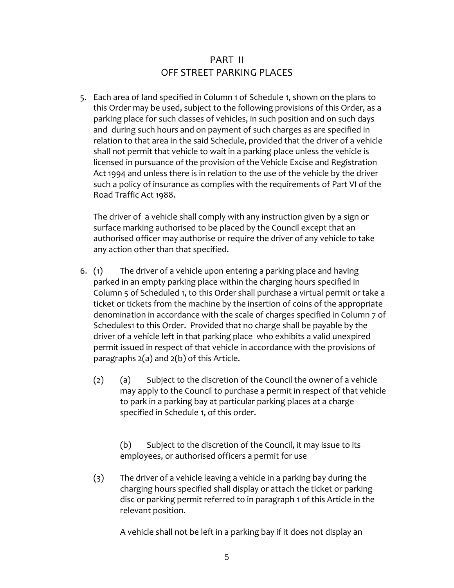# PART II OFF STREET PARKING PLACES

5. Each area of land specified in Column 1 of Schedule 1, shown on the plans to this Order may be used, subject to the following provisions of this Order, as a parking place for such classes of vehicles, in such position and on such days and during such hours and on payment of such charges as are specified in relation to that area in the said Schedule, provided that the driver of a vehicle shall not permit that vehicle to wait in a parking place unless the vehicle is licensed in pursuance of the provision of the Vehicle Excise and Registration Act 1994 and unless there is in relation to the use of the vehicle by the driver such a policy of insurance as complies with the requirements of Part VI of the Road Traffic Act 1988.

The driver of a vehicle shall comply with any instruction given by a sign or surface marking authorised to be placed by the Council except that an authorised officer may authorise or require the driver of any vehicle to take any action other than that specified.

- 6. (1) The driver of a vehicle upon entering a parking place and having parked in an empty parking place within the charging hours specified in Column 5 of Scheduled 1, to this Order shall purchase a virtual permit or take a ticket or tickets from the machine by the insertion of coins of the appropriate denomination in accordance with the scale of charges specified in Column 7 of Schedules1 to this Order. Provided that no charge shall be payable by the driver of a vehicle left in that parking place who exhibits a valid unexpired permit issued in respect of that vehicle in accordance with the provisions of paragraphs 2(a) and 2(b) of this Article.
	- (2) (a) Subject to the discretion of the Council the owner of a vehicle may apply to the Council to purchase a permit in respect of that vehicle to park in a parking bay at particular parking places at a charge specified in Schedule 1, of this order.

(b) Subject to the discretion of the Council, it may issue to its employees, or authorised officers a permit for use

(3) The driver of a vehicle leaving a vehicle in a parking bay during the charging hours specified shall display or attach the ticket or parking disc or parking permit referred to in paragraph 1 of this Article in the relevant position.

A vehicle shall not be left in a parking bay if it does not display an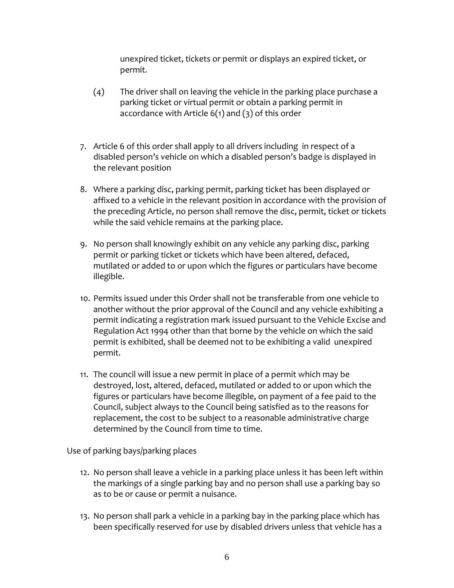unexpired ticket, tickets or permit or displays an expired ticket, or permit.

- (4) The driver shall on leaving the vehicle in the parking place purchase a parking ticket or virtual permit or obtain a parking permit in accordance with Article 6(1) and (3) of this order
- 7. Article 6 of this order shall apply to all drivers including in respect of a disabled person's vehicle on which a disabled person's badge is displayed in the relevant position
- 8. Where a parking disc, parking permit, parking ticket has been displayed or affixed to a vehicle in the relevant position in accordance with the provision of the preceding Article, no person shall remove the disc, permit, ticket or tickets while the said vehicle remains at the parking place.
- 9. No person shall knowingly exhibit on any vehicle any parking disc, parking permit or parking ticket or tickets which have been altered, defaced, mutilated or added to or upon which the figures or particulars have become illegible.
- 10. Permits issued under this Order shall not be transferable from one vehicle to another without the prior approval of the Council and any vehicle exhibiting a permit indicating a registration mark issued pursuant to the Vehicle Excise and Regulation Act 1994 other than that borne by the vehicle on which the said permit is exhibited, shall be deemed not to be exhibiting a valid unexpired permit.
- 11. The council will issue a new permit in place of a permit which may be destroyed, lost, altered, defaced, mutilated or added to or upon which the figures or particulars have become illegible, on payment of a fee paid to the Council, subject always to the Council being satisfied as to the reasons for replacement, the cost to be subject to a reasonable administrative charge determined by the Council from time to time.

Use of parking bays/parking places

- 12. No person shall leave a vehicle in a parking place unless it has been left within the markings of a single parking bay and no person shall use a parking bay so as to be or cause or permit a nuisance.
- 13. No person shall park a vehicle in a parking bay in the parking place which has been specifically reserved for use by disabled drivers unless that vehicle has a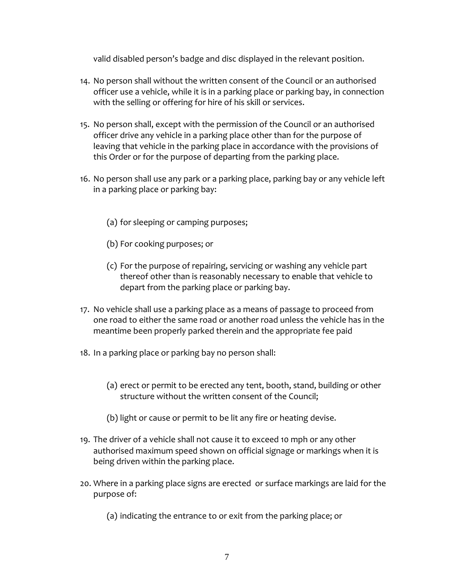valid disabled person's badge and disc displayed in the relevant position.

- 14. No person shall without the written consent of the Council or an authorised officer use a vehicle, while it is in a parking place or parking bay, in connection with the selling or offering for hire of his skill or services.
- 15. No person shall, except with the permission of the Council or an authorised officer drive any vehicle in a parking place other than for the purpose of leaving that vehicle in the parking place in accordance with the provisions of this Order or for the purpose of departing from the parking place.
- 16. No person shall use any park or a parking place, parking bay or any vehicle left in a parking place or parking bay:
	- (a) for sleeping or camping purposes;
	- (b) For cooking purposes; or
	- (c) For the purpose of repairing, servicing or washing any vehicle part thereof other than is reasonably necessary to enable that vehicle to depart from the parking place or parking bay.
- 17. No vehicle shall use a parking place as a means of passage to proceed from one road to either the same road or another road unless the vehicle has in the meantime been properly parked therein and the appropriate fee paid
- 18. In a parking place or parking bay no person shall:
	- (a) erect or permit to be erected any tent, booth, stand, building or other structure without the written consent of the Council;
	- (b) light or cause or permit to be lit any fire or heating devise.
- 19. The driver of a vehicle shall not cause it to exceed 10 mph or any other authorised maximum speed shown on official signage or markings when it is being driven within the parking place.
- 20. Where in a parking place signs are erected or surface markings are laid for the purpose of:
	- (a) indicating the entrance to or exit from the parking place; or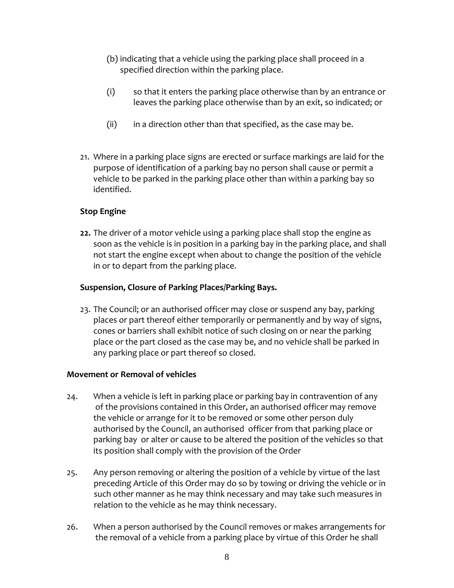- (b) indicating that a vehicle using the parking place shall proceed in a specified direction within the parking place.
- (i) so that it enters the parking place otherwise than by an entrance or leaves the parking place otherwise than by an exit, so indicated; or
- $(ii)$  in a direction other than that specified, as the case may be.
- 21. Where in a parking place signs are erected or surface markings are laid for the purpose of identification of a parking bay no person shall cause or permit a vehicle to be parked in the parking place other than within a parking bay so identified.

#### **Stop Engine**

**22.** The driver of a motor vehicle using a parking place shall stop the engine as soon as the vehicle is in position in a parking bay in the parking place, and shall not start the engine except when about to change the position of the vehicle in or to depart from the parking place.

#### **Suspension, Closure of Parking Places/Parking Bays.**

23. The Council; or an authorised officer may close or suspend any bay, parking places or part thereof either temporarily or permanently and by way of signs, cones or barriers shall exhibit notice of such closing on or near the parking place or the part closed as the case may be, and no vehicle shall be parked in any parking place or part thereof so closed.

#### **Movement or Removal of vehicles**

- 24. When a vehicle is left in parking place or parking bay in contravention of any of the provisions contained in this Order, an authorised officer may remove the vehicle or arrange for it to be removed or some other person duly authorised by the Council, an authorised officer from that parking place or parking bay or alter or cause to be altered the position of the vehicles so that its position shall comply with the provision of the Order
- 25. Any person removing or altering the position of a vehicle by virtue of the last preceding Article of this Order may do so by towing or driving the vehicle or in such other manner as he may think necessary and may take such measures in relation to the vehicle as he may think necessary.
- 26. When a person authorised by the Council removes or makes arrangements for the removal of a vehicle from a parking place by virtue of this Order he shall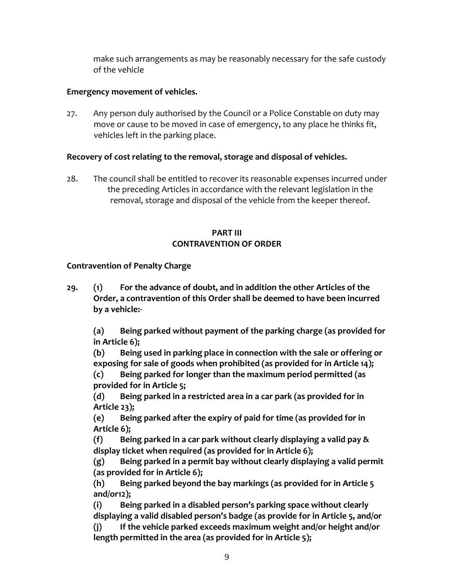make such arrangements as may be reasonably necessary for the safe custody of the vehicle

#### **Emergency movement of vehicles.**

27. Any person duly authorised by the Council or a Police Constable on duty may move or cause to be moved in case of emergency, to any place he thinks fit, vehicles left in the parking place.

### **Recovery of cost relating to the removal, storage and disposal of vehicles.**

28. The council shall be entitled to recover its reasonable expenses incurred under the preceding Articles in accordance with the relevant legislation in the removal, storage and disposal of the vehicle from the keeper thereof.

#### **PART III CONTRAVENTION OF ORDER**

### **Contravention of Penalty Charge**

**29. (1) For the advance of doubt, and in addition the other Articles of the Order, a contravention of this Order shall be deemed to have been incurred by a vehicle:-**

**(a) Being parked without payment of the parking charge (as provided for in Article 6);**

**(b) Being used in parking place in connection with the sale or offering or exposing for sale of goods when prohibited (as provided for in Article 14);**

**(c) Being parked for longer than the maximum period permitted (as provided for in Article 5;**

**(d) Being parked in a restricted area in a car park (as provided for in Article 23);**

**(e) Being parked after the expiry of paid for time (as provided for in Article 6);**

**(f) Being parked in a car park without clearly displaying a valid pay & display ticket when required (as provided for in Article 6);**

**(g) Being parked in a permit bay without clearly displaying a valid permit (as provided for in Article 6);**

**(h) Being parked beyond the bay markings (as provided for in Article 5 and/or12);**

**(i) Being parked in a disabled person's parking space without clearly displaying a valid disabled person's badge (as provide for in Article 5, and/or (j) If the vehicle parked exceeds maximum weight and/or height and/or length permitted in the area (as provided for in Article 5);**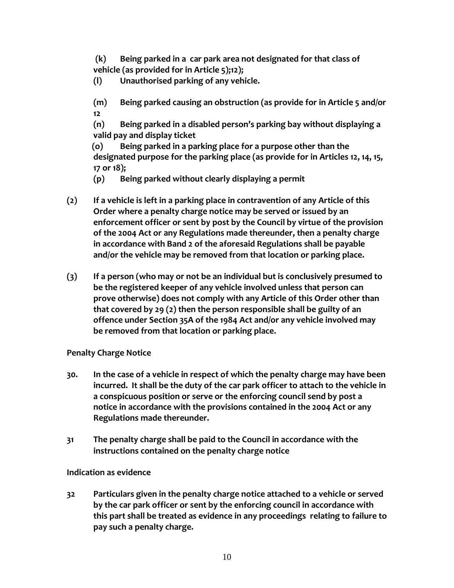**(k) Being parked in a car park area not designated for that class of vehicle (as provided for in Article 5);12);**

**(l) Unauthorised parking of any vehicle.**

**(m) Being parked causing an obstruction (as provide for in Article 5 and/or 12**

**(n) Being parked in a disabled person's parking bay without displaying a valid pay and display ticket**

 **(o) Being parked in a parking place for a purpose other than the designated purpose for the parking place (as provide for in Articles 12, 14, 15, 17 or 18);**

**(p) Being parked without clearly displaying a permit**

- **(2) If a vehicle is left in a parking place in contravention of any Article of this Order where a penalty charge notice may be served or issued by an enforcement officer or sent by post by the Council by virtue of the provision of the 2004 Act or any Regulations made thereunder, then a penalty charge in accordance with Band 2 of the aforesaid Regulations shall be payable and/or the vehicle may be removed from that location or parking place.**
- **(3) If a person (who may or not be an individual but is conclusively presumed to be the registered keeper of any vehicle involved unless that person can prove otherwise) does not comply with any Article of this Order other than that covered by 29 (2) then the person responsible shall be guilty of an offence under Section 35A of the 1984 Act and/or any vehicle involved may be removed from that location or parking place.**

## **Penalty Charge Notice**

- **30. In the case of a vehicle in respect of which the penalty charge may have been incurred. It shall be the duty of the car park officer to attach to the vehicle in a conspicuous position or serve or the enforcing council send by post a notice in accordance with the provisions contained in the 2004 Act or any Regulations made thereunder.**
- **31 The penalty charge shall be paid to the Council in accordance with the instructions contained on the penalty charge notice**

## **Indication as evidence**

**32 Particulars given in the penalty charge notice attached to a vehicle or served by the car park officer or sent by the enforcing council in accordance with this part shall be treated as evidence in any proceedings relating to failure to pay such a penalty charge.**